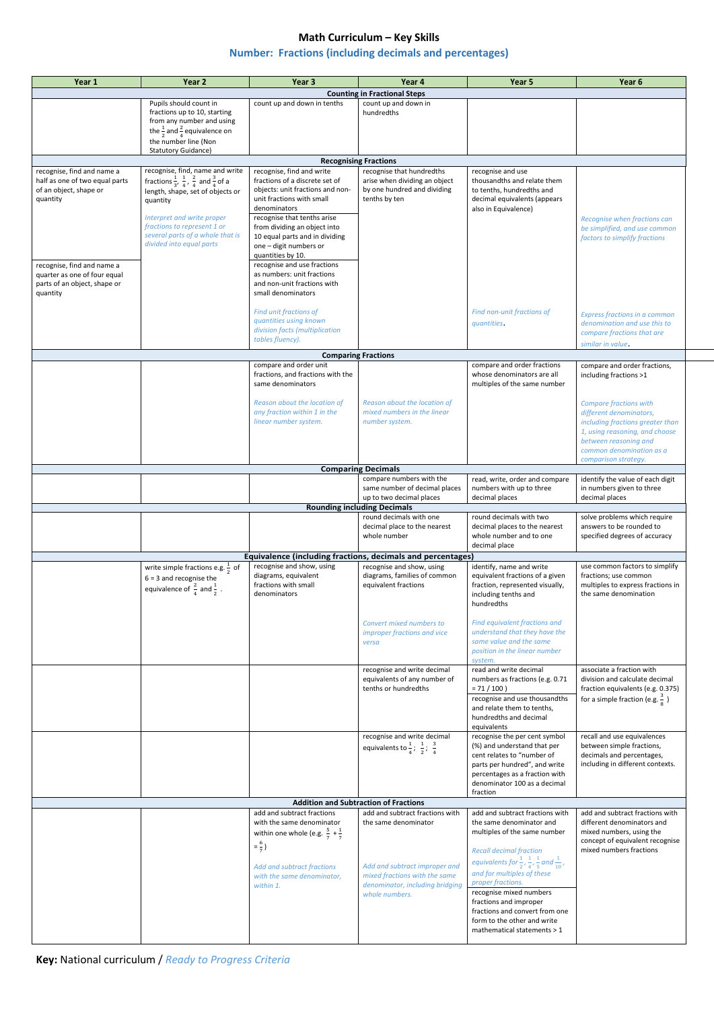## **Math Curriculum – Key Skills**

## **Number: Fractions (including decimals and percentages)**

**Key:** National curriculum / *Ready to Progress Criteria*

| Year 1                                                                                                                                       | Year <sub>2</sub>                                                         | Year 3                                                                                   | Year 4                                                                                      | Year 5                                                                                                               | Year 6                                                              |  |  |  |
|----------------------------------------------------------------------------------------------------------------------------------------------|---------------------------------------------------------------------------|------------------------------------------------------------------------------------------|---------------------------------------------------------------------------------------------|----------------------------------------------------------------------------------------------------------------------|---------------------------------------------------------------------|--|--|--|
|                                                                                                                                              |                                                                           |                                                                                          | <b>Counting in Fractional Steps</b>                                                         |                                                                                                                      |                                                                     |  |  |  |
| Pupils should count in<br>count up and down in tenths<br>count up and down in                                                                |                                                                           |                                                                                          |                                                                                             |                                                                                                                      |                                                                     |  |  |  |
|                                                                                                                                              | fractions up to 10, starting<br>from any number and using                 |                                                                                          | hundredths                                                                                  |                                                                                                                      |                                                                     |  |  |  |
|                                                                                                                                              | the $\frac{1}{2}$ and $\frac{2}{4}$ equivalence on                        |                                                                                          |                                                                                             |                                                                                                                      |                                                                     |  |  |  |
|                                                                                                                                              | the number line (Non<br><b>Statutory Guidance)</b>                        |                                                                                          |                                                                                             |                                                                                                                      |                                                                     |  |  |  |
|                                                                                                                                              |                                                                           |                                                                                          | <b>Recognising Fractions</b>                                                                |                                                                                                                      |                                                                     |  |  |  |
| recognise, find, name and write<br>recognise, find and write<br>recognise that hundredths<br>recognise and use<br>recognise, find and name a |                                                                           |                                                                                          |                                                                                             |                                                                                                                      |                                                                     |  |  |  |
| half as one of two equal parts<br>of an object, shape or                                                                                     | fractions $\frac{1}{3}, \frac{1}{4}, \frac{2}{4}$ and $\frac{3}{4}$ of a  | fractions of a discrete set of<br>objects: unit fractions and non-                       | arise when dividing an object<br>by one hundred and dividing                                | thousandths and relate them<br>to tenths, hundredths and                                                             |                                                                     |  |  |  |
| quantity                                                                                                                                     | length, shape, set of objects or<br>quantity                              | unit fractions with small                                                                | tenths by ten                                                                               | decimal equivalents (appears                                                                                         |                                                                     |  |  |  |
|                                                                                                                                              | Interpret and write proper                                                | denominators<br>recognise that tenths arise                                              |                                                                                             | also in Equivalence)                                                                                                 |                                                                     |  |  |  |
|                                                                                                                                              | fractions to represent 1 or                                               | from dividing an object into                                                             |                                                                                             |                                                                                                                      | Recognise when fractions can<br>be simplified, and use common       |  |  |  |
|                                                                                                                                              | several parts of a whole that is<br>divided into equal parts              | 10 equal parts and in dividing<br>one - digit numbers or                                 |                                                                                             |                                                                                                                      | factors to simplify fractions                                       |  |  |  |
|                                                                                                                                              |                                                                           | quantities by 10.                                                                        |                                                                                             |                                                                                                                      |                                                                     |  |  |  |
| recognise, find and name a                                                                                                                   |                                                                           | recognise and use fractions                                                              |                                                                                             |                                                                                                                      |                                                                     |  |  |  |
| quarter as one of four equal<br>parts of an object, shape or                                                                                 |                                                                           | as numbers: unit fractions<br>and non-unit fractions with                                |                                                                                             |                                                                                                                      |                                                                     |  |  |  |
| quantity                                                                                                                                     |                                                                           | small denominators                                                                       |                                                                                             |                                                                                                                      |                                                                     |  |  |  |
|                                                                                                                                              |                                                                           | Find unit fractions of                                                                   |                                                                                             | Find non-unit fractions of                                                                                           | Express fractions in a common                                       |  |  |  |
|                                                                                                                                              |                                                                           | quantities using known                                                                   |                                                                                             | quantities.                                                                                                          | denomination and use this to                                        |  |  |  |
|                                                                                                                                              |                                                                           | division facts (multiplication<br>tables fluency).                                       |                                                                                             |                                                                                                                      | compare fractions that are                                          |  |  |  |
|                                                                                                                                              |                                                                           |                                                                                          |                                                                                             |                                                                                                                      | similar in value.                                                   |  |  |  |
|                                                                                                                                              |                                                                           | compare and order unit                                                                   | <b>Comparing Fractions</b>                                                                  | compare and order fractions                                                                                          | compare and order fractions,                                        |  |  |  |
|                                                                                                                                              |                                                                           | fractions, and fractions with the                                                        |                                                                                             | whose denominators are all                                                                                           | including fractions >1                                              |  |  |  |
|                                                                                                                                              |                                                                           | same denominators                                                                        |                                                                                             | multiples of the same number                                                                                         |                                                                     |  |  |  |
|                                                                                                                                              |                                                                           | Reason about the location of<br>any fraction within 1 in the                             | Reason about the location of<br>mixed numbers in the linear                                 |                                                                                                                      | <b>Compare fractions with</b>                                       |  |  |  |
|                                                                                                                                              |                                                                           | linear number system.                                                                    | number system.                                                                              |                                                                                                                      | different denominators,<br>including fractions greater than         |  |  |  |
|                                                                                                                                              |                                                                           |                                                                                          |                                                                                             |                                                                                                                      | 1, using reasoning, and choose                                      |  |  |  |
|                                                                                                                                              |                                                                           |                                                                                          |                                                                                             |                                                                                                                      | between reasoning and<br>common denomination as a                   |  |  |  |
|                                                                                                                                              |                                                                           |                                                                                          |                                                                                             |                                                                                                                      | comparison strategy.                                                |  |  |  |
|                                                                                                                                              |                                                                           |                                                                                          | <b>Comparing Decimals</b><br>compare numbers with the                                       | read, write, order and compare                                                                                       | identify the value of each digit                                    |  |  |  |
|                                                                                                                                              |                                                                           |                                                                                          | same number of decimal places                                                               | numbers with up to three                                                                                             | in numbers given to three                                           |  |  |  |
|                                                                                                                                              |                                                                           |                                                                                          | up to two decimal places<br><b>Rounding including Decimals</b>                              | decimal places                                                                                                       | decimal places                                                      |  |  |  |
|                                                                                                                                              |                                                                           |                                                                                          | round decimals with one                                                                     | round decimals with two                                                                                              | solve problems which require                                        |  |  |  |
|                                                                                                                                              |                                                                           |                                                                                          | decimal place to the nearest<br>whole number                                                | decimal places to the nearest<br>whole number and to one                                                             | answers to be rounded to<br>specified degrees of accuracy           |  |  |  |
|                                                                                                                                              |                                                                           |                                                                                          |                                                                                             | decimal place                                                                                                        |                                                                     |  |  |  |
|                                                                                                                                              |                                                                           | Equivalence (including fractions, decimals and percentages)<br>recognise and show, using | recognise and show, using                                                                   | identify, name and write                                                                                             | use common factors to simplify                                      |  |  |  |
|                                                                                                                                              | write simple fractions e.g. $\frac{1}{2}$ of<br>$6 = 3$ and recognise the | diagrams, equivalent                                                                     | diagrams, families of common                                                                | equivalent fractions of a given                                                                                      | fractions; use common                                               |  |  |  |
|                                                                                                                                              | equivalence of $\frac{2}{4}$ and $\frac{1}{2}$ .                          | fractions with small<br>denominators                                                     | equivalent fractions                                                                        | fraction, represented visually,<br>including tenths and                                                              | multiples to express fractions in<br>the same denomination          |  |  |  |
|                                                                                                                                              |                                                                           |                                                                                          |                                                                                             | hundredths                                                                                                           |                                                                     |  |  |  |
|                                                                                                                                              |                                                                           |                                                                                          |                                                                                             | Find equivalent fractions and                                                                                        |                                                                     |  |  |  |
|                                                                                                                                              |                                                                           |                                                                                          | Convert mixed numbers to<br>improper fractions and vice                                     | understand that they have the                                                                                        |                                                                     |  |  |  |
|                                                                                                                                              |                                                                           |                                                                                          | versa                                                                                       | same value and the same                                                                                              |                                                                     |  |  |  |
|                                                                                                                                              |                                                                           |                                                                                          |                                                                                             | position in the linear number<br>system.                                                                             |                                                                     |  |  |  |
|                                                                                                                                              |                                                                           |                                                                                          | recognise and write decimal                                                                 | read and write decimal                                                                                               | associate a fraction with                                           |  |  |  |
|                                                                                                                                              |                                                                           |                                                                                          | equivalents of any number of<br>tenths or hundredths                                        | numbers as fractions (e.g. 0.71<br>$= 71 / 100$                                                                      | division and calculate decimal<br>fraction equivalents (e.g. 0.375) |  |  |  |
|                                                                                                                                              |                                                                           |                                                                                          |                                                                                             | recognise and use thousandths                                                                                        | for a simple fraction (e.g. $\frac{3}{8}$ )                         |  |  |  |
|                                                                                                                                              |                                                                           |                                                                                          |                                                                                             | and relate them to tenths,<br>hundredths and decimal                                                                 |                                                                     |  |  |  |
|                                                                                                                                              |                                                                           |                                                                                          |                                                                                             | equivalents                                                                                                          |                                                                     |  |  |  |
|                                                                                                                                              |                                                                           |                                                                                          | recognise and write decimal<br>equivalents to $\frac{1}{4}$ ; $\frac{1}{2}$ ; $\frac{3}{4}$ | recognise the per cent symbol<br>(%) and understand that per                                                         | recall and use equivalences<br>between simple fractions,            |  |  |  |
|                                                                                                                                              |                                                                           |                                                                                          |                                                                                             | cent relates to "number of                                                                                           | decimals and percentages,                                           |  |  |  |
|                                                                                                                                              |                                                                           |                                                                                          |                                                                                             | parts per hundred", and write<br>percentages as a fraction with                                                      | including in different contexts.                                    |  |  |  |
|                                                                                                                                              |                                                                           |                                                                                          |                                                                                             | denominator 100 as a decimal                                                                                         |                                                                     |  |  |  |
|                                                                                                                                              |                                                                           |                                                                                          | <b>Addition and Subtraction of Fractions</b>                                                | fraction                                                                                                             |                                                                     |  |  |  |
|                                                                                                                                              |                                                                           | add and subtract fractions                                                               | add and subtract fractions with                                                             | add and subtract fractions with                                                                                      | add and subtract fractions with                                     |  |  |  |
|                                                                                                                                              |                                                                           | with the same denominator<br>within one whole (e.g. $\frac{5}{7} + \frac{1}{7}$          | the same denominator                                                                        | the same denominator and<br>multiples of the same number                                                             | different denominators and<br>mixed numbers, using the              |  |  |  |
|                                                                                                                                              |                                                                           | $=\frac{6}{7}$                                                                           |                                                                                             |                                                                                                                      | concept of equivalent recognise                                     |  |  |  |
|                                                                                                                                              |                                                                           |                                                                                          |                                                                                             | <b>Recall decimal fraction</b><br>equivalents for $\frac{1}{2}$ , $\frac{1}{4}$ , $\frac{1}{5}$ and $\frac{1}{10}$ , | mixed numbers fractions                                             |  |  |  |
|                                                                                                                                              |                                                                           | Add and subtract fractions<br>with the same denominator,                                 | Add and subtract improper and<br>mixed fractions with the same                              | and for multiples of these                                                                                           |                                                                     |  |  |  |
|                                                                                                                                              |                                                                           | within 1.                                                                                | denominator, including bridging                                                             | proper fractions.                                                                                                    |                                                                     |  |  |  |
|                                                                                                                                              |                                                                           |                                                                                          | whole numbers.                                                                              | recognise mixed numbers<br>fractions and improper                                                                    |                                                                     |  |  |  |
|                                                                                                                                              |                                                                           |                                                                                          |                                                                                             | fractions and convert from one                                                                                       |                                                                     |  |  |  |
|                                                                                                                                              |                                                                           |                                                                                          |                                                                                             | form to the other and write<br>mathematical statements > 1                                                           |                                                                     |  |  |  |
|                                                                                                                                              |                                                                           |                                                                                          |                                                                                             |                                                                                                                      |                                                                     |  |  |  |